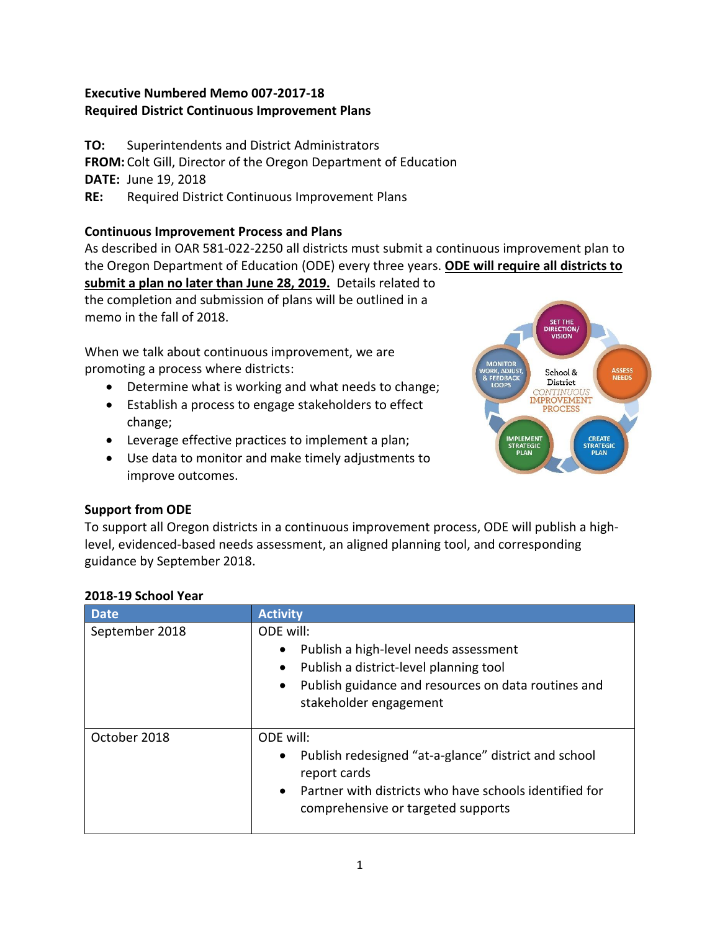# **Executive Numbered Memo 007-2017-18 Required District Continuous Improvement Plans**

**TO:** Superintendents and District Administrators **FROM:** Colt Gill, Director of the Oregon Department of Education **DATE:** June 19, 2018 **RE:** Required District Continuous Improvement Plans

### **Continuous Improvement Process and Plans**

As described in OAR 581-022-2250 all districts must submit a continuous improvement plan to the Oregon Department of Education (ODE) every three years. **ODE will require all districts to** 

**submit a plan no later than June 28, 2019.** Details related to the completion and submission of plans will be outlined in a memo in the fall of 2018.

When we talk about continuous improvement, we are promoting a process where districts:

- Determine what is working and what needs to change;
- Establish a process to engage stakeholders to effect change;
- Leverage effective practices to implement a plan;
- Use data to monitor and make timely adjustments to improve outcomes.



# level, evidenced-based needs assessment, an aligned planning tool, and corresponding

**Support from ODE**

guidance by September 2018.

| <b>Date</b>    | <b>Activity</b>                                                                                                                                                                                                      |
|----------------|----------------------------------------------------------------------------------------------------------------------------------------------------------------------------------------------------------------------|
| September 2018 | ODE will:<br>Publish a high-level needs assessment<br>$\bullet$<br>Publish a district-level planning tool<br>$\bullet$<br>Publish guidance and resources on data routines and<br>$\bullet$<br>stakeholder engagement |
| October 2018   | ODE will:<br>Publish redesigned "at-a-glance" district and school<br>$\bullet$<br>report cards<br>Partner with districts who have schools identified for<br>$\bullet$<br>comprehensive or targeted supports          |

To support all Oregon districts in a continuous improvement process, ODE will publish a high-

### **2018-19 School Year**